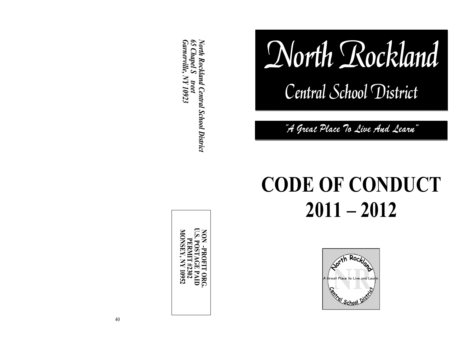*North Rockland Central School District 65 Chapel S treet Garnerville, NY 10923*

**NON -PROFIT ORG. U.S. POSTAGE PAID PERMIT #2302 MONSEY, NY 10952**

40

# North Rockland

Central School District

"A Great Place To Live And Learn"

# **CODE OF CONDUCT 2011 – 2012**

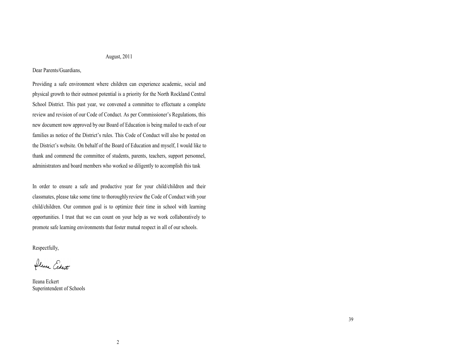#### August, 2011

#### Dear Parents/Guardians,

Providing a safe environment where children can experience academic, social and physical growth to their outmost potential is a priority for the North Rockland Central School District. This past year, we convened a committee to effectuate a complete review and revision of our Code of Conduct. As per Commissioner's Regulations, this new document now approved by our Board of Education is being mailed to each of our families as notice of the District's rules. This Code of Conduct will also be posted on the District's website. On behalf of the Board of Education and myself, I would like to thank and commend the committee of students, parents, teachers, support personnel, administrators and board members who worked so diligently to accomplish this task

In order to ensure a safe and productive year for your child/children and their classmates, please take some time to thoroughly review the Code of Conduct with your child/children. Our common goal is to optimize their time in school with learning opportunities. I trust that we can count on your help as we work collaboratively to promote safe learning environments that foster mutual respect in all of our schools.

Respectfully,

fleura Eckert

Ileana Eckert Superintendent of Schools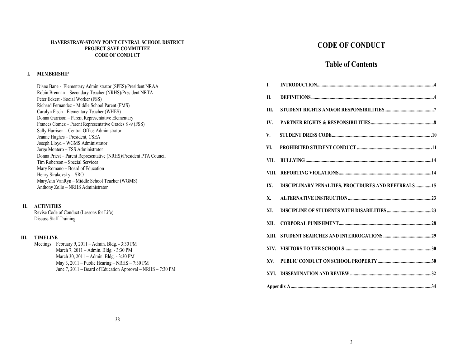#### **HAVERSTRAW-STONY POINT CENTRAL SCHOOL DISTRICT PROJECT SAVE COMMITTEE CODE OF CONDUCT**

#### **I. MEMBERSHIP**

Diane Bane - Elementary Administrator (SPES)/President NRAA Robin Brennan – Secondary Teacher (NRHS)/President NRTA Peter Eckert - Social Worker (FSS) Richard Fernandez – Middle School Parent (FMS) Carolyn Fisch - Elementary Teacher (WHES) Donna Garrison – Parent Representative Elementary Frances Gomez – Parent Representative Grades 8 -9 (FSS) Sally Harrison – Central Office Administrator Jeanne Hughes – President, CSEA Joseph Lloyd – WGMS Administrator Jorge Montero – FSS Administrator Donna Priest – Parent Representative (NRHS)/President PTA Council Tim Roberson – Special Services Mary Romano – Board of Education Henry Sirakovsky – SRO MaryAnn VanRyn – Middle School Teacher (WGMS) Anthony Zollo – NRHS Administrator

#### **II. ACTIVITIES**

Revise Code of Conduct (Lessons for Life) Discuss Staff Training

#### **III. TIMELINE**

Meetings: February 9, 2011 – Admin. Bldg. - 3:30 PM March 7, 2011 – Admin. Bldg. - 3:30 PM March 30, 2011 – Admin. Bldg. - 3:30 PM May 3, 2011 – Public Hearing – NRHS – 7:30 PM June 7, 2011 – Board of Education Approval – NRHS – 7:30 PM

# **CODE OF CONDUCT**

## **Table of Contents**

| I.   |                                                      |  |  |  |
|------|------------------------------------------------------|--|--|--|
| П.   |                                                      |  |  |  |
| Ш.   |                                                      |  |  |  |
| IV.  |                                                      |  |  |  |
| V.   |                                                      |  |  |  |
| VI.  |                                                      |  |  |  |
| VII. |                                                      |  |  |  |
|      |                                                      |  |  |  |
| IX.  | DISCIPLINARY PENALTIES, PROCEDURES AND REFERRALS  15 |  |  |  |
| X.   |                                                      |  |  |  |
| XI.  |                                                      |  |  |  |
| XII. |                                                      |  |  |  |
|      |                                                      |  |  |  |
|      |                                                      |  |  |  |
|      |                                                      |  |  |  |
|      |                                                      |  |  |  |
|      |                                                      |  |  |  |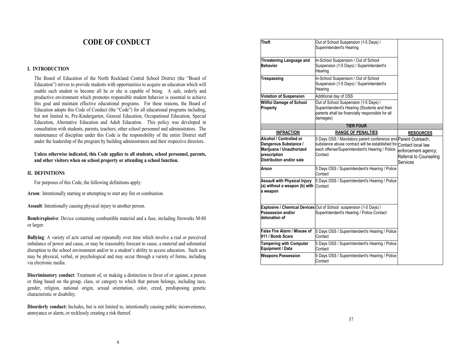## **CODE OF CONDUCT**

#### **I. INTRODUCTION**

The Board of Education of the North Rockland Central School District (the "Board of Education") strives to provide students with opportunities to acquire an education which will enable each student to become all he or she is capable of being. A safe, orderly and productive environment which promotes responsible student behavior is essential to achieve this goal and maintain effective educational programs. For these reasons, the Board of Education adopts this Code of Conduct (the "Code") for all educational programs including, but not limited to, Pre-Kindergarten, General Education, Occupational Education, Special Education, Alternative Education and Adult Education. This policy was developed in consultation with students, parents, teachers, other school personnel and administrators. The maintenance of discipline under this Code is the responsibility of the entire District staff under the leadership of the program by building administrators and their respective directors.

#### **Unless otherwise indicated, this Code applies to all students, school personnel, parents, and other visitors when on school property or attending a school function.**

#### **II. DEFINITIONS**

For purposes of this Code, the following definitions apply:

**Arson**: Intentionally starting or attempting to start any fire or combustion.

**Assault**: Intentionally causing physical injury to another person.

**Bomb/explosive**: Device containing combustible material and a fuse, including fireworks M-80 or larger.

**Bullying**: A variety of acts carried out repeatedly over time which involve a real or perceived imbalance of power and cause, or may be reasonably forecast to cause, a material and substantial disruption to the school environment and/or to a student's ability to access education. Such acts may be physical, verbal, or psychological and may occur through a variety of forms, including via electronic media.

**Discriminatory conduct**: Treatment of, or making a distinction in favor of or against, a person or thing based on the group, class, or category to which that person belongs, including race, gender, religion, national origin, sexual orientation, color, creed, predisposing genetic characteristic or disability.

**Disorderly conduct:** Includes, but is not limited to, intentionally causing public inconvenience, annoyance or alarm, or recklessly creating a risk thereof.

| Theft                                                                                                                    | Out of School Suspension (1-5 Days) /<br>Superintendent's Hearing                                                                                             |                                                                                                    |
|--------------------------------------------------------------------------------------------------------------------------|---------------------------------------------------------------------------------------------------------------------------------------------------------------|----------------------------------------------------------------------------------------------------|
| Threatening Language and<br><b>Behavior</b>                                                                              | In-School Suspension / Out of School<br>Suspension (1-5 Days) / Superintendent's<br>Hearing                                                                   |                                                                                                    |
| Trespassing                                                                                                              | In-School Suspension / Out of School<br>Suspension (1-5 Days) / Superintendent's<br>Hearing                                                                   |                                                                                                    |
| <b>Violation of Suspension</b>                                                                                           | Additional day of OSS                                                                                                                                         |                                                                                                    |
| <b>Willful Damage of School</b><br>Property                                                                              | Out of School Suspension (1-5 Days) /<br>Superintendent's Hearing (Students and their<br>parents shall be financially responsible for all<br>damages)         |                                                                                                    |
|                                                                                                                          | <b>TIER FOUR</b>                                                                                                                                              |                                                                                                    |
| <b>INFRACTION</b>                                                                                                        | <b>RANGE OF PENALTIES</b>                                                                                                                                     | <b>RESOURCES</b>                                                                                   |
| Alcohol / Controlled or<br>Dangerous Substance /<br>Marijuana / Unauthorized<br>prescription<br>Distribution and/or sale | 5 Days OSS / Mandatory parent conference and<br>substance abuse contract will be established for<br>each offense/Superintendent's Hearing / Police<br>Contact | Parent Outreach;<br>Contact local law<br>enforcement agency;<br>Referral to Counseling<br>Services |
| Arson                                                                                                                    | 5 Days OSS / Superintendent's Hearing / Police<br>Contact                                                                                                     |                                                                                                    |
| <b>Assault with Physical Injury</b><br>(a) without a weapon (b) with Contact<br>a weapon                                 | 5 Days OSS / Superintendent's Hearing / Police                                                                                                                |                                                                                                    |
| Possession and/or<br>detonation of                                                                                       | Explosive / Chemical Devices Out of School suspension (1-5 Days) /<br>Superintendent's Hearing / Police Contact                                               |                                                                                                    |
| False Fire Alarm / Misuse of<br>911 / Bomb Scare                                                                         | 5 Days OSS / Superintendent's Hearing / Police<br>Contact                                                                                                     |                                                                                                    |
| <b>Tampering with Computer</b><br>Equipment / Data                                                                       | 5 Days OSS / Superintendent's Hearing / Police<br>Contact                                                                                                     |                                                                                                    |
| <b>Weapons Possession</b>                                                                                                | 5 Days OSS / Superintendent's Hearing / Police<br>Contact                                                                                                     |                                                                                                    |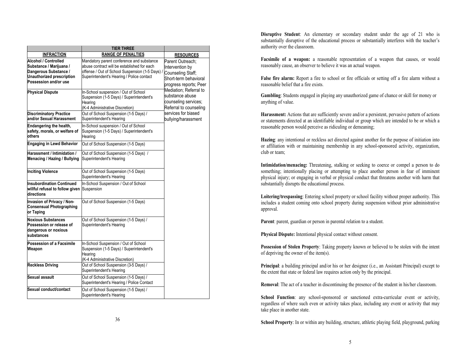|                                                                                                                                       | <b>TIER THREE</b>                                                                                                                                                                        |                                                                                                                                           |  |
|---------------------------------------------------------------------------------------------------------------------------------------|------------------------------------------------------------------------------------------------------------------------------------------------------------------------------------------|-------------------------------------------------------------------------------------------------------------------------------------------|--|
| <b>INFRACTION</b>                                                                                                                     | <b>RANGE OF PENALTIES</b>                                                                                                                                                                | <b>RESOURCES</b>                                                                                                                          |  |
| Alcohol / Controlled<br>Substance / Marijuana /<br>Dangerous Substance /<br><b>Unauthorized prescription</b><br>Possession and/or use | Mandatory parent conference and substance<br>abuse contract will be established for each<br>offense / Out of School Suspension (1-5 Days) /<br>Superintendent's Hearing / Police contact | Parent Outreach:<br>Intervention by<br>Counseling Staff;<br>Short-term behavioral<br>progress reports; Peer                               |  |
| <b>Physical Dispute</b>                                                                                                               | In-School suspension / Out of School<br>Suspension (1-5 Days) / Superintendent's<br>Hearing<br>(K-4 Administrative Discretion)                                                           | Mediation; Referral to<br>substance abuse<br>counseling services;<br>Referral to counseling<br>services for biased<br>bullying/harassment |  |
| <b>Discriminatory Practice</b><br>and/or Sexual Harassment                                                                            | Out of School Suspension (1-5 Days) /<br>Superintendent's Hearing                                                                                                                        |                                                                                                                                           |  |
| Endangering the health,<br>safety, morals, or welfare of<br>others                                                                    | In-School suspension / Out of School<br>Suspension (1-5 Days) / Superintendent's<br>Hearing                                                                                              |                                                                                                                                           |  |
| <b>Engaging in Lewd Behavior</b>                                                                                                      | Out of School Suspension (1-5 Days)                                                                                                                                                      |                                                                                                                                           |  |
| Harassment / Intimidation /<br>Menacing / Hazing / Bullying                                                                           | Out of School Suspension (1-5 Days) /<br>Superintendent's Hearing                                                                                                                        |                                                                                                                                           |  |
| <b>Inciting Violence</b>                                                                                                              | Out of School Suspension (1-5 Days)<br>Superintendent's Hearing                                                                                                                          |                                                                                                                                           |  |
| <b>Insubordination Continued</b><br>willful refusal to follow given<br>directions                                                     | In-School Suspension / Out of School<br>Suspension                                                                                                                                       |                                                                                                                                           |  |
| Invasion of Privacy / Non-<br><b>Consensual Photographing</b><br>or Taping                                                            | Out of School Suspension (1-5 Days)                                                                                                                                                      |                                                                                                                                           |  |
| <b>Noxious Substances</b><br>Possession or release of<br>dangerous or noxious<br>substances                                           | Out of School Suspension (1-5 Days) /<br>Superintendent's Hearing                                                                                                                        |                                                                                                                                           |  |
| Possession of a Facsimile<br>Weapon                                                                                                   | In-School Suspension / Out of School<br>Suspension (1-5 Days) / Superintendent's<br>Hearing<br>(K-4 Administrative Discretion)                                                           |                                                                                                                                           |  |
| <b>Reckless Driving</b>                                                                                                               | Out of School Suspension (3-5 Days) /<br>Superintendent's Hearing                                                                                                                        |                                                                                                                                           |  |
| Sexual assault                                                                                                                        | Out of School Suspension (1-5 Days) /<br>Superintendent's Hearing / Police Contact                                                                                                       |                                                                                                                                           |  |
| Sexual conduct/contact                                                                                                                | Out of School Suspension (1-5 Days) /<br>Superintendent's Hearing                                                                                                                        |                                                                                                                                           |  |

**Disruptive Student**: An elementary or secondary student under the age of 21 who is substantially disruptive of the educational process or substantially interferes with the teacher's authority over the classroom.

**Facsimile of a weapon:** a reasonable representation of a weapon that causes, or would reasonably cause, an observer to believe it was an actual weapon.

**False fire alarm:** Report a fire to school or fire officials or setting off a fire alarm without a reasonable belief that a fire exists.

**Gambling**: Students engaged in playing any unauthorized game of chance or skill for money or anything of value.

Harassment: Actions that are sufficiently severe and/or a persistent, pervasive pattern of actions or statements directed at an identifiable individual or group which are intended to be or which a reasonable person would perceive as ridiculing or demeaning;

**Hazing**: any intentional or reckless act directed against another for the purpose of initiation into or affiliation with or maintaining membership in any school-sponsored activity, organization, club or team;

**Intimidation/menacing:** Threatening, stalking or seeking to coerce or compel a person to do something; intentionally placing or attempting to place another person in fear of imminent physical injury; or engaging in verbal or physical conduct that threatens another with harm that substantially disrupts the educational process.

**Loitering/trespassing**: Entering school property or school facility without proper authority. This includes a student coming onto school property during suspension without prior administrative approval.

**Parent**: parent, guardian or person in parental relation to a student.

**Physical Dispute:** Intentional physical contact without consent.

**Possession of Stolen Property**: Taking property known or believed to be stolen with the intent of depriving the owner of the item(s).

**Principal**: a building principal and/or his or her designee (i.e., an Assistant Principal) except to the extent that state or federal law requires action only by the principal.

**Removal**: The act of a teacher in discontinuing the presence of the student in his/her classroom.

School Function: any school-sponsored or sanctioned extra-curricular event or activity, regardless of where such even or activity takes place, including any event or activity that may take place in another state.

**School Property**: In or within any building, structure, athletic playing field, playground, parking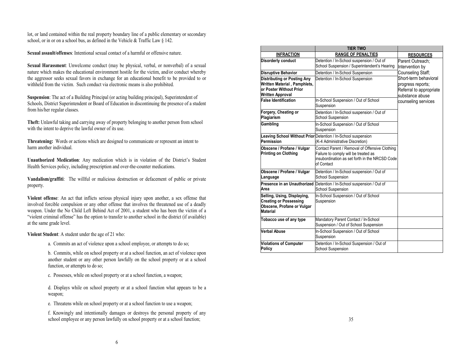lot, or land contained within the real property boundary line of a public elementary or secondary school, or in or on a school bus, as defined in the Vehicle & Traffic Law § 142.

**Sexual assault/offenses**: Intentional sexual contact of a harmful or offensive nature.

**Sexual Harassment**: Unwelcome conduct (may be physical, verbal, or nonverbal) of a sexual nature which makes the educational environment hostile for the victim, and/or conduct whereby the aggressor seeks sexual favors in exchange for an educational benefit to be provided to or withheld from the victim. Such conduct via electronic means is also prohibited.

**Suspension**: The act of a Building Principal (or acting building principal), Superintendent of Schools, District Superintendent or Board of Education in discontinuing the presence of a student from his/her regular classes.

**Theft:** Unlawful taking and carrying away of property belonging to another person from school with the intent to deprive the lawful owner of its use.

**Threatening:** Words or actions which are designed to communicate or represent an intent to harm another individual.

**Unauthorized Medication**: Any medication which is in violation of the District's Student Health Services policy, including prescription and over-the-counter medications.

**Vandalism/graffiti**: The willful or malicious destruction or defacement of public or private property.

**Violent offense**: An act that inflicts serious physical injury upon another, a sex offense that involved forcible compulsion or any other offense that involves the threatened use of a deadly weapon. Under the No Child Left Behind Act of 2001, a student who has been the victim of a "violent criminal offense" has the option to transfer to another school in the district (if available) at the same grade level.

**Violent Student**: A student under the age of 21 who:

a. Commits an act of violence upon a school employee, or attempts to do so;

b. Commits, while on school property or at a school function, an act of violence upon another student or any other person lawfully on the school property or at a school function, or attempts to do so;

c. Possesses, while on school property or at a school function, a weapon;

d. Displays while on school property or at a school function what appears to be a weapon:

e. Threatens while on school property or at a school function to use a weapon;

f. Knowingly and intentionally damages or destroys the personal property of any school employee or any person lawfully on school property or at a school function;  $35$ 

|                                                                                                                          | <b>TIER TWO</b>                                                                                                                                        |                                                                                          |
|--------------------------------------------------------------------------------------------------------------------------|--------------------------------------------------------------------------------------------------------------------------------------------------------|------------------------------------------------------------------------------------------|
| <b>INFRACTION</b>                                                                                                        | <b>RANGE OF PENALTIES</b>                                                                                                                              | <b>RESOURCES</b>                                                                         |
| <b>Disorderly conduct</b>                                                                                                | Detention / In-School suspension / Out of<br>School Suspension / Superintendent's Hearing                                                              | Parent Outreach:<br>Intervention by                                                      |
| <b>Disruptive Behavior</b>                                                                                               | Detention / In-School Suspension                                                                                                                       | Counseling Staff;                                                                        |
| <b>Distributing or Posting Any</b><br>Written Material, Pamphlets,<br>or Poster Without Prior<br><b>Written Approval</b> | Detention / In-School Suspension                                                                                                                       | Short-term behavioral<br>progress reports;<br>Referral to appropriate<br>substance abuse |
| <b>False Identification</b>                                                                                              | In-School Suspension / Out of School<br>Suspension                                                                                                     | counseling services                                                                      |
| Forgery, Cheating or<br>Plagiarism                                                                                       | Detention / In-School suspension / Out of<br><b>School Suspension</b>                                                                                  |                                                                                          |
| Gambling                                                                                                                 | In-School Suspension / Out of School<br>Suspension                                                                                                     |                                                                                          |
| Permission                                                                                                               | Leaving School Without Prior Detention / In-School suspension<br>(K-4 Administrative Discretion)                                                       |                                                                                          |
| Obscene / Profane / Vulgar<br><b>Printing on Clothing</b>                                                                | Contact Parent / Removal of Offensive Clothing<br>Failure to comply will be treated as<br>insubordination as set forth in the NRCSD Code<br>of Contact |                                                                                          |
| Obscene / Profane / Vulgar<br>Language                                                                                   | Detention / In-School suspension / Out of<br><b>School Suspension</b>                                                                                  |                                                                                          |
| Presence in an Unauthorized<br>Area                                                                                      | Detention / In-School suspension / Out of<br><b>School Suspension</b>                                                                                  |                                                                                          |
| Selling, Using, Displaying,<br><b>Creating or Possessing</b><br>Obscene, Profane or Vulgar<br><b>Material</b>            | In-School Suspension / Out of School<br>Suspension                                                                                                     |                                                                                          |
| Tobacco use of any type                                                                                                  | Mandatory Parent Contact / In-School<br>Suspension / Out of School Suspension                                                                          |                                                                                          |
| <b>Verbal Abuse</b>                                                                                                      | In-School Suspension / Out of School<br>Suspension                                                                                                     |                                                                                          |
| <b>Violations of Computer</b><br>Policy                                                                                  | Detention / In-School Suspension / Out of<br><b>School Suspension</b>                                                                                  |                                                                                          |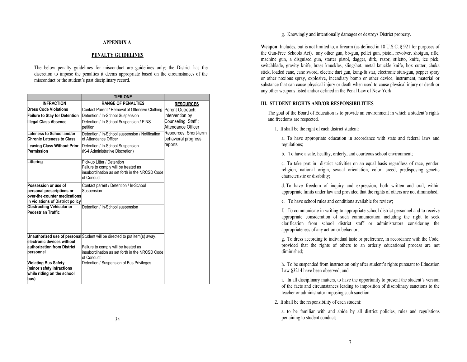#### **APPENDIX A**

#### **PENALTY GUIDELINES**

The below penalty guidelines for misconduct are guidelines only; the District has the discretion to impose the penalties it deems appropriate based on the circumstances of the misconduct or the student's past disciplinary record.

|                                                               | <b>TIER ONE</b>                                                                                                                    |                                              |
|---------------------------------------------------------------|------------------------------------------------------------------------------------------------------------------------------------|----------------------------------------------|
| <b>INFRACTION</b>                                             | <b>RANGE OF PENALTIES</b>                                                                                                          | <b>RESOURCES</b>                             |
| <b>Dress Code Violations</b>                                  | Contact Parent / Removal of Offensive Clothing   Parent Outreach;                                                                  |                                              |
| <b>Failure to Stay for Detention</b>                          | Detention / In-School Suspension                                                                                                   | Intervention by                              |
| <b>Illegal Class Absence</b>                                  | Detention / In-School Suspension / PINS<br>petition                                                                                | Counseling Staff:<br>Attendance Officer      |
| Lateness to School and/or<br><b>Chronic Lateness to Class</b> | Detention / In-School suspension / Notification<br>of Attendance Officer                                                           | Resources: Short-term<br>behavioral progress |
| <b>Leaving Class Without Prior</b><br>Permission              | Detention / In-School Suspension<br>(K-4 Administrative Discretion)                                                                | reports                                      |
| Littering                                                     | Pick-up Litter / Detention<br>Failure to comply will be treated as<br>insubordination as set forth in the NRCSD Code<br>of Conduct |                                              |
| Possession or use of                                          | Contact parent / Detention / In-School                                                                                             |                                              |
| personal prescriptions or                                     | Suspension                                                                                                                         |                                              |
| over-the-counter medications                                  |                                                                                                                                    |                                              |
| in violations of District policy                              |                                                                                                                                    |                                              |
| <b>Obstructing Vehicular or</b><br><b>Pedestrian Traffic</b>  | Detention / In-School suspension                                                                                                   |                                              |
| electronic devices without                                    | Unauthorized use of personal Student will be directed to put item(s) away.                                                         |                                              |
| authorization from District                                   | Failure to comply will be treated as                                                                                               |                                              |
| personnel                                                     | insubordination as set forth in the NRCSD Code<br>of Conduct                                                                       |                                              |
| <b>Violating Bus Safety</b><br>(minor safety infractions      | Detention / Suspension of Bus Privileges                                                                                           |                                              |
| while riding on the school<br>bus)                            |                                                                                                                                    |                                              |

g. Knowingly and intentionally damages or destroys District property.

**Weapon**: Includes, but is not limited to, a firearm (as defined in 18 U.S.C. § 921 for purposes of the Gun-Free Schools Act), any other gun, bb-gun, pellet gun, pistol, revolver, shotgun, rifle, machine gun, a disguised gun, starter pistol, dagger, dirk, razor, stiletto, knife, ice pick, switchblade, gravity knife, brass knuckles, slingshot, metal knuckle knife, box cutter, chuka stick, loaded cane, cane sword, electric dart gun, kung-fu star, electronic stun-gun, pepper spray or other noxious spray, explosive, incendiary bomb or other device, instrument, material or substance that can cause physical injury or death when used to cause physical injury or death or any other weapons listed and/or defined in the Penal Law of New York.

#### **III. STUDENT RIGHTS AND/OR RESPONSIBILITIES**

The goal of the Board of Education is to provide an environment in which a student's rights and freedoms are respected.

1. It shall be the right of each district student:

a. To have appropriate education in accordance with state and federal laws and regulations;

b. To have a safe, healthy, orderly, and courteous school environment;

c. To take part in district activities on an equal basis regardless of race, gender, religion, national origin, sexual orientation, color, creed, predisposing genetic characteristic or disability;

d. To have freedom of inquiry and expression, both written and oral, within appropriate limits under law and provided that the rights of others are not diminished;

e. To have school rules and conditions available for review;

f. To communicate in writing to appropriate school district personnel and to receive appropriate consideration of such communication including the right to seek clarification from school district staff or administrators considering the appropriateness of any action or behavior;

g. To dress according to individual taste or preference, in accordance with the Code, provided that the rights of others to an orderly educational process are not diminished;

h. To be suspended from instruction only after student's rights pursuant to Education Law §3214 have been observed; and

i. In all disciplinary matters, to have the opportunity to present the student's version of the facts and circumstances leading to imposition of disciplinary sanctions to the teacher or administrator imposing such sanction.

2. It shall be the responsibility of each student:

a. to be familiar with and abide by all district policies, rules and regulations pertaining to student conduct;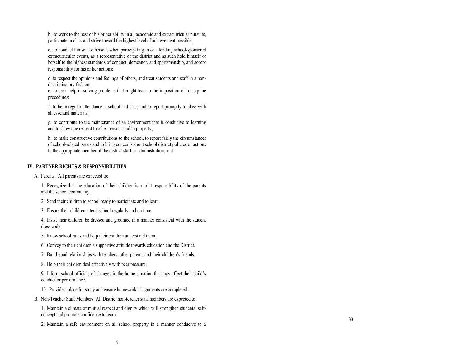b. to work to the best of his or her ability in all academic and extracurricular pursuits, participate in class and strive toward the highest level of achievement possible;

c. to conduct himself or herself, when participating in or attending school -sponsored extracurricular events, as a representative of the district and as such hold himself or herself to the highest standards of conduct, demeanor, and sportsmanship, and accept responsibility for his or her actions;

d. to respect the opinions and feelings of others, and treat students and staff in a non discriminatory fashion;

e. to seek help in solving problems that might lead to the imposition of discipline procedures;

f. to be in regular attendance at school and class and to report promptly to class with all essential materials;

g. to contribute to the maintenance of an environment that is conducive to learning and to show due respect to other persons and to property;

h. to make constructive contributions to the school, to report fairly the circumstances of school -related issues and to bring concerns about school district policies or actions to the appropriate member of the district staff or administration; and

#### **IV. PARTNER RIGHTS & RESPONSIBILITIES**

A. Parents. All parents are expected to:

1. Recognize that the education of their children is a joint responsibility of the parents and the school community.

- 2. Send their children to school ready to participate and to learn.
- 3. Ensure their children attend school regularly and on time.

4. Insist their children be dressed and groomed in a manner consistent with the student dress code.

- 5. Know school rules and help their children understand them.
- 6. Convey to their children a supportive attitude towards education and the District.
- 7. Build good relationships with teachers, other parents and their children's friends.
- 8. Help their children deal effectively with peer pressure.

9. Inform school officials of changes in the home situation that may affect their child's conduct or performance.

- 10. Provide a place for study and ensure homework assignments are completed.
- B. Non -Teacher Staff Members. All District non -teacher staff members are expected to:

1. Maintain a climate of mutual respect and dignity which will strengthen students' selfconcept and promote confidence to learn.

2. Maintain a safe environment on all school property in a manner conducive to a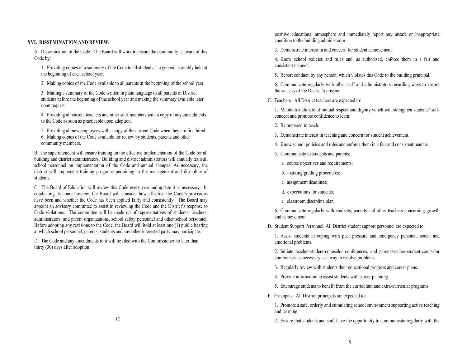#### **XVI. DISSEMINATION AND REVIEW.**

A. Dissemination of the Code. The Board will work to ensure the community is aware of this Code by:

1. Providing copies of a summary of the Code to all students at a general assembly held at the beginning of each school year.

2. Making copies of the Code available to all parents at the beginning of the school year.

3. Mailing a summary of the Code written in plain language to all parents of District students before the beginning of the school year and making the summary available later upon request.

4. Providing all current teachers and other staff members with a copy of any amendments to the Code as soon as practicable upon adoption.

5. Providing all new employees with a copy of the current Code when they are first hired. 6. Making copies of the Code available for review by students, parents and other community members.

B. The superintendent will ensure training on the effective implementation of the Code for all building and district administrators. Building and district administrators will annually train all school personnel on implementation of the Code and annual changes. As necessary, the district will implement training programs pertaining to the management and discipline of students.

C. The Board of Education will review this Code every year and update it as necessary. In conducting its annual review, the Board will consider how effective the Code's provisions have been and whether the Code has been applied fairly and consistently. The Board may appoint an advisory committee to assist in reviewing the Code and the District's response to Code violations. The committee will be made up of representatives of students, teachers, administrators, and parent organizations, school safety personnel and other school personnel. Before adopting any revisions to the Code, the Board will hold at least one (1) public hearing at which school personnel, parents, students and any other interested party may participate.

D. The Code and any amendments to it will be filed with the Commissioner no later than thirty (30) days after adoption.

positive educational atmosphere and immediately report any unsafe or inappropriate condition to the building administrator.

3. Demonstrate interest in and concern for student achievement.

4. Know school policies and rules and, as authorized, enforce them in a fair and consistent manner.

5. Report conduct, by any person, which violates this Code to the building principal.

6. Communicate regularly with other staff and administrators regarding ways to ensure the success of the District's mission.

C. Teachers. All District teachers are expected to:

1. Maintain a climate of mutual respect and dignity which will strengthen students' selfconcept and promote confidence to learn.

2. Be prepared to teach.

3. Demonstrate interest in teaching and concern for student achievement.

4. Know school policies and rules and enforce them in a fair and consistent manner.

5. Communicate to students and parents:

a. course objectives and requirements;

- b. marking/grading procedures;
- c. assignment deadlines;
- d. expectations for students;
- e. classroom discipline plan.

6. Communicate regularly with students, parents and other teachers concerning growth and achievement.

D. Student Support Personnel. All District student support personnel are expected to:

1. Assist students in coping with peer pressure and emergency personal, social and emotional problems.

2. Initiate teacher-student-counselor conferences, and parent-teacher-student-counselor conferences as necessary as a way to resolve problems.

3. Regularly review with students their educational progress and career plans.

4. Provide information to assist students with career planning.

5. Encourage students to benefit from the curriculum and extra-curricular programs.

E. Principals. All District principals are expected to:

1. Promote a safe, orderly and stimulating school environment supporting active teaching and learning.

2. Ensure that students and staff have the opportunity to communicate regularly with the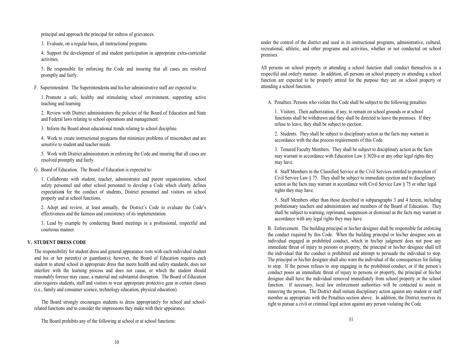principal and approach the principal for redress of grievances.

3. Evaluate, on a regular basis, all instructional programs.

4. Support the development of and student participation in appropriate extra-curricular activities.

5. Be responsible for enforcing the Code and insuring that all cases are resolved promptly and fairly.

F. Superintendent. The Superintendents and his/her administrative staff are expected to:

1. Promote a safe, healthy and stimulating school environment, supporting active teaching and learning.

2. Review with District administrators the policies of the Board of Education and State and Federal laws relating to school operations and management.

3. Inform the Board about educational trends relating to school discipline.

4. Work to create instructional programs that minimize problems of misconduct and are sensitive to student and teacher needs.

5. Work with District administrators in enforcing the Code and insuring that all cases are resolved promptly and fairly.

G. Board of Education. The Board of Education is expected to:

1. Collaborate with student, teacher, administrator and parent organizations, school safety personnel and other school personnel to develop a Code which clearly defines expectation**s** for the conduct of students, District personnel and visitors on school property and at school functions.

2. Adopt and review, at least annually, the District's Code to evaluate the Code's effectiveness and the fairness and consistency of its implementation.

3. Lead by example by conducting Board meetings in a professional, respectful and courteous manner.

#### **V. STUDENT DRESS CODE**

The responsibility for student dress and general appearance rests with each individual student and his or her parent(s) or guardian(s); however, the Board of Education requires each student to attend school in appropriate dress that meets health and safety standards, does not interfere with the learning process and does not cause, or which the student should reasonably foresee may cause, a material and substantial disruption. The Board of Education also requires students, staff and visitors to wear appropriate protective gear in certain classes (i.e., family and consumer science, technology education, physical education).

The Board strongly encourages students to dress appropriately for school and schoolrelated functions and to consider the impressions they make with their appearance.

The Board prohibits any of the following at school or at school functions: 31

under the control of the district and used in its instructional programs, administrative, cultural, recreational, athletic, and other programs and activities, whether or not conducted on school premises.

All persons on school property or attending a school function shall conduct themselves in a respectful and orderly manner. In addition, all persons on school property or attending a school function are expected to be properly attired for the purpose they are on school property or attending a school function.

A. Penalties. Persons who violate this Code shall be subject to the following penalties:

1. Visitors. Their authorization, if any, to remain on school grounds or at school functions shall be withdrawn and they shall be directed to leave the premises. If they refuse to leave, they shall be subject to ejection.

2. Students. They shall be subject to disciplinary action as the facts may warrant in accordance with the due process requirements of this Code.

3. Tenured Faculty Members. They shall be subject to disciplinary action as the facts may warrant in accordance with Education Law § 3020-a or any other legal rights they may have.

4. Staff Members in the Classified Service at the Civil Services entitled to protection of Civil Service Law § 75. They shall be subject to immediate ejection and to disciplinary action as the facts may warrant in accordance with Civil Service Law § 75 or other legal rights they may have.

5. Staff Members other than those described in subparagraphs 3 and 4 herein, including probationary teachers and administrators and members of the Board of Education. They shall be subject to warning, reprimand, suspension or dismissal as the facts may warrant in accordance with any legal rights they may have.

B. Enforcement. The building principal or his/her designee shall be responsible for enforcing the conduct required by this Code. When the building principal or his/her designee sees an individual engaged in prohibited conduct, which in his/her judgment does not pose any immediate threat of injury to persons or property, the principal or his/her designee shall tell the individual that the conduct is prohibited and attempt to persuade the individual to stop. The principal or his/her designee shall also warn the individual of the consequences for failing to stop. If the person refuses to stop engaging in the prohibited conduct, or if the person's conduct poses an immediate threat of injury to persons or property, the principal or his/her designee shall have the individual removed immediately from school property or the school function. If necessary, local law enforcement authorities will be contacted to assist in removing the person. The District shall initiate disciplinary action against any student or staff member as appropriate with the Penalties section above. In addition, the District reserves its right to pursue a civil or criminal legal action against any person violating the Code.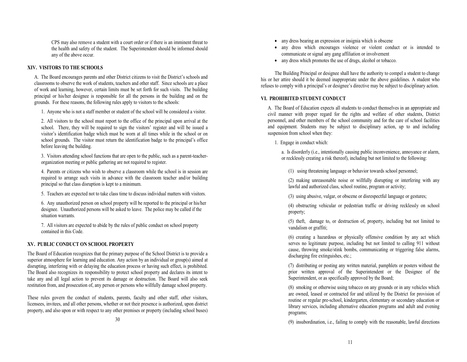CPS may also remove a student with a court order or if there is an imminent threat to the health and safety of the student. The Superintendent should be informed should any of the above occur.

#### **XIV. VISITORS TO THE SCHOOLS**

A. The Board encourages parents and other District citizens to visit the District's schools and classrooms to observe the work of students, teachers and other staff. Since schools are a place of work and learning, however, certain limits must be set forth for such visits. The building principal or his/her designee is responsible for all the persons in the building and on the grounds. For these reasons, the following rules apply to visitors to the schools:

1. Anyone who is not a staff member or student of the school will be considered a visitor.

2. All visitors to the school must report to the office of the principal upon arrival at the school. There, they will be required to sign the visitors' register and will be issued a visitor's identification badge which must be worn at all times while in the school or on school grounds. The visitor must return the identification badge to the principal's office before leaving the building.

3. Visitors attending school functions that are open to the public, such as a parent-teacherorganization meeting or public gathering are not required to register.

4. Parents or citizens who wish to observe a classroom while the school is in session are required to arrange such visits in advance with the classroom teacher and/or building principal so that class disruption is kept to a minimum.

5. Teachers are expected not to take class time to discuss individual matters with visitors.

6. Any unauthorized person on school property will be reported to the principal or his/her designee. Unauthorized persons will be asked to leave. The police may be called if the situation warrants.

7. All visitors are expected to abide by the rules of public conduct on school property contained in this Code.

#### **XV. PUBLIC CONDUCT ON SCHOOL PROPERTY**

The Board of Education recognizes that the primary purpose of the School District is to provide a superior atmosphere for learning and education. Any action by an individual or group(s) aimed at disrupting, interfering with or delaying the education process or having such effect, is prohibited. The Board also recognizes its responsibility to protect school property and declares its intent to take any and all legal action to prevent its damage or destruction. The Board will also seek restitution from, and prosecution of, any person or persons who willfully damage school property.

These rules govern the conduct of students, parents, faculty and other staff, other visitors, licensees, invitees, and all other persons, whether or not their presence is authorized, upon district property, and also upon or with respect to any other premises or property (including school buses)

- any dress which encourages violence or violent conduct or is intended to communicate or signal any gang affiliation or involvement
- any dress which promotes the use of drugs, alcohol or tobacco.

The Building Principal or designee shall have the authority to compel a student to change his or her attire should it be deemed inappropriate under the above guidelines. A student who refuses to comply with a principal's or designee's directive may be subject to disciplinary action.

#### **VI. PROHIBITED STUDENT CONDUCT**

A. The Board of Education expects all students to conduct themselves in an appropriate and civil manner with proper regard for the rights and welfare of other students, District personnel, and other members of the school community and for the care of school facilities and equipment. Students may be subject to disciplinary action, up to and including suspension from school when they:

1. Engage in conduct which:

a. Is disorderly (i.e., intentionally causing public inconvenience, annoyance or alarm, or recklessly creating a risk thereof), including but not limited to the following:

(1) using threatening language or behavior towards school personnel;

(2) making unreasonable noise or willfully disrupting or interfering with any lawful and authorized class, school routine, program or activity;

(3) using abusive, vulgar, or obscene or disrespectful language or gestures;

(4) obstructing vehicular or pedestrian traffic or driving recklessly on school property;

(5) theft, damage to, or destruction of, property, including but not limited to vandalism or graffiti;

(6) creating a hazardous or physically offensive condition by any act which serves no legitimate purpose, including but not limited to calling 911 without cause, throwing smoke/stink bombs, communicating or triggering false alarms, discharging fire extinguishes, etc.;

(7) distributing or posting any written material, pamphlets or posters without the prior written approval of the Superintendent or the Designee of the Superintendent, or as specifically approved by the Board;

(8) smoking or otherwise using tobacco on any grounds or in any vehicles which are owned, leased or contracted for and utilized by the District for provision of routine or regular pre-school, kindergarten, elementary or secondary education or library services, including alternative education programs and adult and evening programs;

(9) insubordination, i.e., failing to comply with the reasonable, lawful directions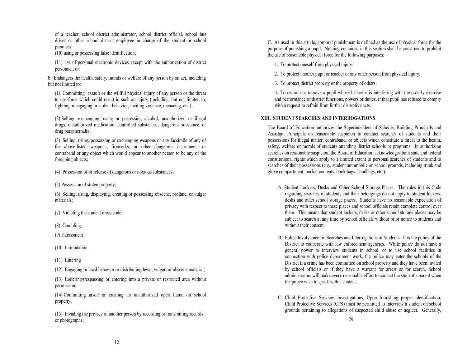of a teacher, school district administrator, school district official, school bus driver or other school district employee in charge of the student or school premises;

(10) using or possessing false identification;

(11) use of personal electronic devices except with the authorization of district personnel; or

b. Endangers the health, safety, morals or welfare of any person by an act, including but not limited to:

(1) Committing assault or the willful physical injury of any person or the threat to use force which could result in such an injury (including, but not limited to, fighting or engaging in violent behavior, inciting violence, menacing, etc.);

(2) Selling, exchanging, using or possessing alcohol, unauthorized or illegal drugs, unauthorized medication, controlled substances, dangerous substance, or drug paraphernalia,

(3) Selling, using, possessing or exchanging weapons or any facsimile of any of the above-listed weapons, fireworks, or other dangerous instruments or contraband or any object which would appear to another person to be any of the foregoing objects;

(4) Possession of or release of dangerous or noxious substances;

(5) Possession of stolen property;

(6) Selling, using, displaying, creating or possessing obscene, profane, or vulgar materials;

(7) Violating the student dress code;

- (8) Gambling;
- (9) Harassment
- (10) Intimidation
- (11) Littering

(12) Engaging in lewd behavior or distributing lewd, vulgar, or obscene material;

(13) Loitering/trespassing or entering into a private or restricted area without permission;

(14) Committing arson or creating an unauthorized open flame on school property;

(15) Invading the privacy of another person by recording or transmitting records or photographs; 29

C. As used in this article, corporal punishment is defined as the use of physical force for the purpose of punishing a pupil. Nothing contained in this section shall be construed to prohibit the use of reasonable physical force for the following purposes:

1. To protect oneself from physical injury;

2. To protect another pupil or teacher or any other person from physical injury;

3. To protect district property or the property of others;

4. To restrain or remove a pupil whose behavior is interfering with the orderly exercise and performance of district functions, powers or duties, if that pupil has refused to comply with a request to refrain from further disruptive acts.

#### **XIII. STUDENT SEARCHES AND INTERROGATIONS**

The Board of Education authorizes the Superintendent of Schools, Building Principals and Assistant Principals on reasonable suspicion to conduct searches of students and their possessions for illegal matter, contraband, or objects which constitute a threat to the health, safety, welfare or morals of students attending district schools or programs. In authorizing searches on reasonable suspicion, the Board of Education acknowledges both state and federal constitutional rights which apply to a limited extent to personal searches of students and to searches of their possessions (e.g., student automobile on school grounds, including trunk and glove compartment, pocket contents, book bags, handbags, etc.).

- A. Student Lockers, Desks and Other School Storage Places. The rules in this Code regarding searches of students and their belongings do not apply to student lockers, desks and other school storage places. Students have no reasonable expectation of privacy with respect to these places and school officials retain complete control over them. This means that student lockers, desks or other school storage places may be subject to search at any time by school officials without prior notice to students and without their consent.
- B. Police Involvement in Searches and Interrogations of Students. It is the policy of the District to cooperate with law enforcement agencies. While police do not have a general power to interview students in school, or to use school facilities in connection with police department work, the police may enter the schools of the District if a crime has been committed on school property and they have been invited by school officials or if they have a warrant for arrest or for search. School administrators will make every reasonable effort to contact the student's parent when the police wish to speak with a student.
- C. Child Protective Services Investigations. Upon furnishing proper identification, Child Protective Services (CPS) must be permitted to interview a student on school grounds pertaining to allegations of suspected child abuse or neglect. Generally,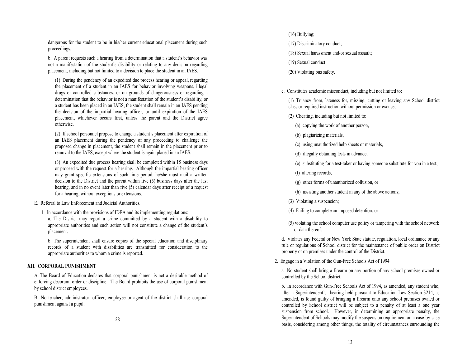dangerous for the student to be in his/her current educational placement during such proceedings.

b. A parent requests such a hearing from a determination that a student's behavior was not a manifestation of the student's disability or relating to any decision regarding placement, including but not limited to a decision to place the student in an IAES.

(1) During the pendency of an expedited due process hearing or appeal, regarding the placement of a student in an IAES for behavior involving weapons, illegal drugs or controlled substances, or on grounds of dangerousness or regarding a determination that the behavior is not a manifestation of the student's disability, or a student has been placed in an IAES, the student shall remain in an IAES pending the decision of the impartial hearing officer, or until expiration of the IAES placement, whichever occurs first, unless the parent and the District agree otherwise.

(2) If school personnel propose to change a student's placement after expiration of an IAES placement during the pendency of any proceeding to challenge the proposed change in placement, the student shall remain in the placement prior to removal to the IAES, except where the student is again placed in an IAES.

(3) An expedited due process hearing shall be completed within 15 business days or proceed with the request for a hearing. Although the impartial hearing officer may grant specific extensions of such time period, he/she must mail a written decision to the District and the parent within five (5) business days after the last hearing, and in no event later than five (5) calendar days after receipt of a request for a hearing, without exceptions or extensions.

E. Referral to Law Enforcement and Judicial Authorities.

1. In accordance with the provisions of IDEA and its implementing regulations:

a. The District may report a crime committed by a student with a disability to appropriate authorities and such action will not constitute a change of the student's placement.

b. The superintendent shall ensure copies of the special education and disciplinary records of a student with disabilities are transmitted for consideration to the appropriate authorities to whom a crime is reported.

#### **XII. CORPORAL PUNISHMENT**

A. The Board of Education declares that corporal punishment is not a desirable method of enforcing decorum, order or discipline. The Board prohibits the use of corporal punishment by school district employees.

B. No teacher, administrator, officer, employee or agent of the district shall use corporal punishment against a pupil.

#### (16) Bullying;

- (17) Discriminatory conduct;
- (18) Sexual harassment and/or sexual assault;
- (19) Sexual conduct
- (20) Violating bus safety.

c. Constitutes academic misconduct, including but not limited to:

(1) Truancy from, lateness for, missing, cutting or leaving any School district class or required instruction without permission or excuse;

- (2) Cheating, including but not limited to:
	- (a) copying the work of another person,
	- (b) plagiarizing materials,
	- (c) using unauthorized help sheets or materials,
	- (d) illegally obtaining tests in advance,
	- (e) substituting for a test-taker or having someone substitute for you in a test,
	- (f) altering records,
	- (g) other forms of unauthorized collusion, or
	- (h) assisting another student in any of the above actions;
- (3) Violating a suspension;
- (4) Failing to complete an imposed detention; or
- (5) violating the school computer use policy or tampering with the school network or data thereof.

d. Violates any Federal or New York State statute, regulation, local ordinance or any rule or regulations of School district for the maintenance of public order on District property or on premises under the control of the District.

2. Engage in a Violation of the Gun-Free Schools Act of 1994

a. No student shall bring a firearm on any portion of any school premises owned or controlled by the School district.

b. In accordance with Gun-Free Schools Act of 1994, as amended, any student who, after a Superintendent's hearing held pursuant to Education Law Section 3214, as amended, is found guilty of bringing a firearm onto any school premises owned or controlled by School district will be subject to a penalty of at least a one year suspension from school. However, in determining an appropriate penalty, the Superintendent of Schools may modify the suspension requirement on a case-by-case basis, considering among other things, the totality of circumstances surrounding the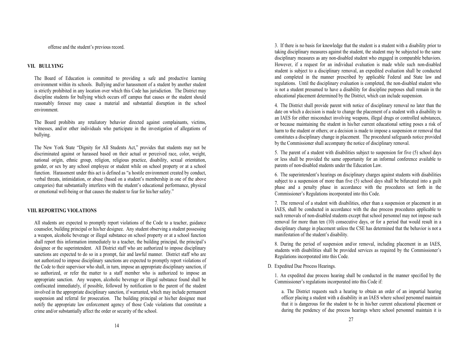offense and the student's previous record.

#### **VII. BULLYING**

The Board of Education is committed to providing a safe and productive learning environment within its schools. Bullying and/or harassment of a student by another student is strictly prohibited in any location over which this Code has jurisdiction. The District may discipline students for bullying which occurs off campus that causes or the student should reasonably foresee may cause a material and substantial disruption in the school environment.

The Board prohibits any retaliatory behavior directed against complainants, victims, witnesses, and/or other individuals who participate in the investigation of allegations of bullying.

The New York State "Dignity for All Students Act," provides that students may not be discriminated against or harassed based on their actual or perceived race, color, weight, national origin, ethnic group, religion, religious practice, disability, sexual orientation, gender, or sex by any school employee or student while on school property or at a school function. Harassment under this act is defined as "a hostile environment created by conduct, verbal threats, intimidation, or abuse (based on a student's membership in one of the above categories) that substantially interferes with the student's educational performance, physical or emotional well-being or that causes the student to fear for his/her safety."

#### **VIII. REPORTING VIOLATIONS**

All students are expected to promptly report violations of the Code to a teacher, guidance counselor, building principal or his/her designee. Any student observing a student possessing a weapon, alcoholic beverage or illegal substance on school property or at a school function shall report this information immediately to a teacher, the building principal, the principal's designee or the superintendent. All District staff who are authorized to impose disciplinary sanctions are expected to do so in a prompt, fair and lawful manner. District staff who are not authorized to impose disciplinary sanctions are expected to promptly report violations of the Code to their supervisor who shall, in turn, impose an appropriate disciplinary sanction, if so authorized, or refer the matter to a staff member who is authorized to impose an appropriate sanction. Any weapon, alcoholic beverage or illegal substance found shall be confiscated immediately, if possible, followed by notification to the parent of the student involved in the appropriate disciplinary sanction, if warranted, which may include permanent suspension and referral for prosecution. The building principal or his/her designee must notify the appropriate law enforcement agency of those Code violations that constitute a crime and/or substantially affect the order or security of the school.

3. If there is no basis for knowledge that the student is a student with a disability prior to taking disciplinary measures against the student, the student may be subjected to the same disciplinary measures as any non-disabled student who engaged in comparable behaviors. However, if a request for an individual evaluation is made while such non-disabled student is subject to a disciplinary removal, an expedited evaluation shall be conducted and completed in the manner prescribed by applicable Federal and State law and regulations. Until the disciplinary evaluation is completed, the non-disabled student who is not a student presumed to have a disability for discipline purposes shall remain in the educational placement determined by the District, which can include suspension.

4. The District shall provide parent with notice of disciplinary removal no later than the date on which a decision is made to change the placement of a student with a disability to an IAES for either misconduct involving weapons, illegal drugs or controlled substances, or because maintaining the student in his/her current educational setting poses a risk of harm to the student or others; or a decision is made to impose a suspension or removal that constitutes a disciplinary change in placement. The procedural safeguards notice provided by the Commissioner shall accompany the notice of disciplinary removal.

5. The parent of a student with disabilities subject to suspension for five (5) school days or less shall be provided the same opportunity for an informal conference available to parents of non-disabled students under the Education Law.

6. The superintendent's hearings on disciplinary charges against students with disabilities subject to a suspension of more than five (5) school days shall be bifurcated into a guilt phase and a penalty phase in accordance with the procedures set forth in the Commissioner's Regulations incorporated into this Code.

7. The removal of a student with disabilities, other than a suspension or placement in an IAES, shall be conducted in accordance with the due process procedures applicable to such removals of non-disabled students except that school personnel may not impose such removal for more than ten (10) consecutive days, or for a period that would result in a disciplinary change in placement unless the CSE has determined that the behavior is not a manifestation of the student's disability.

8. During the period of suspension and/or removal, including placement in an IAES, students with disabilities shall be provided services as required by the Commissioner's Regulations incorporated into this Code.

#### D. Expedited Due Process Hearings.

1. An expedited due process hearing shall be conducted in the manner specified by the Commissioner's regulations incorporated into this Code if:

a. The District requests such a hearing to obtain an order of an impartial hearing officer placing a student with a disability in an IAES where school personnel maintain that it is dangerous for the student to be in his/her current educational placement or during the pendency of due process hearings where school personnel maintain it is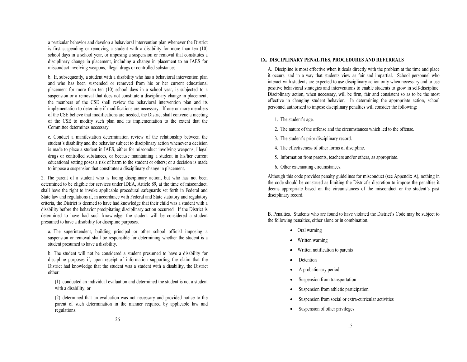a particular behavior and develop a behavioral intervention plan whenever the District is first suspending or removing a student with a disability for more than ten (10) school days in a school year, or imposing a suspension or removal that constitutes a disciplinary change in placement, including a change in placement to an IAES for misconduct involving weapons, illegal drugs or controlled substances.

b. If, subsequently, a student with a disability who has a behavioral intervention plan and who has been suspended or removed from his or her current educational placement for more than ten (10) school days in a school year, is subjected to a suspension or a removal that does not constitute a disciplinary change in placement, the members of the CSE shall review the behavioral intervention plan and its implementation to determine if modifications are necessary. If one or more members of the CSE believe that modifications are needed, the District shall convene a meeting of the CSE to modify such plan and its implementation to the extent that the Committee determines necessary.

c. Conduct a manifestation determination review of the relationship between the student's disability and the behavior subject to disciplinary action whenever a decision is made to place a student in IAES, either for misconduct involving weapons, illegal drugs or controlled substances, or because maintaining a student in his/her current educational setting poses a risk of harm to the student or others; or a decision is made to impose a suspension that constitutes a disciplinary change in placement.

2. The parent of a student who is facing disciplinary action, but who has not been determined to be eligible for services under IDEA, Article 89, at the time of misconduct, shall have the right to invoke applicable procedural safeguards set forth in Federal and State law and regulations if, in accordance with Federal and State statutory and regulatory criteria, the District is deemed to have had knowledge that their child was a student with a disability before the behavior precipitating disciplinary action occurred. If the District is determined to have had such knowledge, the student will be considered a student presumed to have a disability for discipline purposes.

a. The superintendent, building principal or other school official imposing a suspension or removal shall be responsible for determining whether the student is a student presumed to have a disability.

b. The student will not be considered a student presumed to have a disability for discipline purposes if, upon receipt of information supporting the claim that the District had knowledge that the student was a student with a disability, the District either:

(1) conducted an individual evaluation and determined the student is not a student with a disability, or

(2) determined that an evaluation was not necessary and provided notice to the parent of such determination in the manner required by applicable law and regulations.

#### **IX. DISCIPLINARY PENALTIES, PROCEDURES AND REFERRALS**

A. Discipline is most effective when it deals directly with the problem at the time and place it occurs, and in a way that students view as fair and impartial. School personnel who interact with students are expected to use disciplinary action only when necessary and to use positive behavioral strategies and interventions to enable students to grow in self-discipline. Disciplinary action, when necessary, will be firm, fair and consistent so as to be the most effective in changing student behavior. In determining the appropriate action, school personnel authorized to impose disciplinary penalties will consider the following:

- 1. The student's age.
- 2. The nature of the offense and the circumstances which led to the offense.
- 3. The student's prior disciplinary record.
- 4. The effectiveness of other forms of discipline.
- 5. Information from parents, teachers and/or others, as appropriate.
- 6. Other extenuating circumstances.

Although this code provides penalty guidelines for misconduct (see Appendix A), nothing in the code should be construed as limiting the District's discretion to impose the penalties it deems appropriate based on the circumstances of the misconduct or the student's past disciplinary record.

B. Penalties. Students who are found to have violated the District's Code may be subject to the following penalties, either alone or in combination.

- Oral warning
- Written warning
- Written notification to parents
- Detention
- A probationary period
- Suspension from transportation
- Suspension from athletic participation
- Suspension from social or extra-curricular activities
- Suspension of other privileges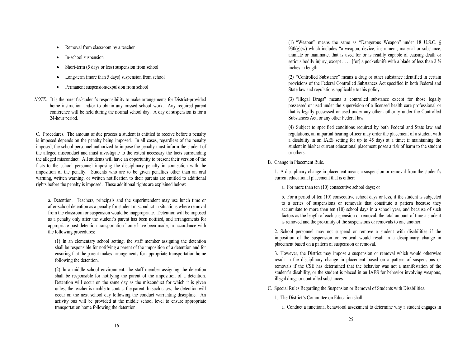- Removal from classroom by a teacher
- In-school suspension
- Short-term (5 days or less) suspension from school
- Long-term (more than 5 days) suspension from school
- Permanent suspension**/**expulsion from school
- *NOTE*: It is the parent's/student's responsibility to make arrangements for District-provided home instruction and/or to obtain any missed school work. Any required parent conference will be held during the normal school day. A day of suspension is for a 24-hour period.

C. Procedures. The amount of due process a student is entitled to receive before a penalty is imposed depends on the penalty being imposed. In all cases, regardless of the penalty imposed, the school personnel authorized to impose the penalty must inform the student of the alleged misconduct and must investigate to the extent necessary the facts surrounding the alleged misconduct. All students will have an opportunity to present their version of the facts to the school personnel imposing the disciplinary penalty in connection with the imposition of the penalty. Students who are to be given penalties other than an oral warning, written warning, or written notification to their parents are entitled to additional rights before the penalty is imposed. These additional rights are explained below:

a. Detention. Teachers, principals and the superintendent may use lunch time or after-school detention as a penalty for student misconduct in situations where removal from the classroom or suspension would be inappropriate. Detention will be imposed as a penalty only after the student's parent has been notified, and arrangements for appropriate post-detention transportation home have been made, in accordance with the following procedures:

(1) In an elementary school setting, the staff member assigning the detention shall be responsible for notifying a parent of the imposition of a detention and for ensuring that the parent makes arrangements for appropriate transportation home following the detention.

(2) In a middle school environment, the staff member assigning the detention shall be responsible for notifying the parent of the imposition of a detention. Detention will occur on the same day as the misconduct for which it is given unless the teacher is unable to contact the parent. In such cases, the detention will occur on the next school day following the conduct warranting discipline. An activity bus will be provided at the middle school level to ensure appropriate transportation home following the detention.

(1) "Weapon" means the same as "Dangerous Weapon" under 18 U.S.C. §  $930(g)(w)$  which includes "a weapon, device, instrument, material or substance, animate or inanimate, that is used for or is readily capable of causing death or serious bodily injury, except . . . . [for] a pocketknife with a blade of less than  $2\frac{1}{2}$ inches in length.

(2) "Controlled Substance" means a drug or other substance identified in certain provisions of the Federal Controlled Substances Act specified in both Federal and State law and regulations applicable to this policy.

(3) "Illegal Drugs" means a controlled substance except for those legally possessed or used under the supervision of a licensed health care professional or that is legally possessed or used under any other authority under the Controlled Substances Act, or any other Federal law.

(4) Subject to specified conditions required by both Federal and State law and regulations, an impartial hearing officer may order the placement of a student with a disability in an IAES setting for up to 45 days at a time; if maintaining the student in his/her current educational placement poses a risk of harm to the student or others.

#### B. Change in Placement Rule.

1. A disciplinary change in placement means a suspension or removal from the student's current educational placement that is either:

a. For more than ten (10) consecutive school days; or

b. For a period of ten (10) consecutive school days or less, if the student is subjected to a series of suspensions or removals that constitute a pattern because they accumulate to more than ten (10) school days in a school year, and because of such factors as the length of each suspension or removal, the total amount of time a student is removed and the proximity of the suspensions or removals to one another.

2. School personnel may not suspend or remove a student with disabilities if the imposition of the suspension or removal would result in a disciplinary change in placement based on a pattern of suspension or removal.

3. However, the District may impose a suspension or removal which would otherwise result in the disciplinary change in placement based on a pattern of suspensions or removals if the CSE has determined that the behavior was not a manifestation of the student's disability, or the student is placed in an IAES for behavior involving weapons, illegal drugs or controlled substances.

C. Special Rules Regarding the Suspension or Removal of Students with Disabilities.

- 1. The District's Committee on Education shall:
	- a. Conduct a functional behavioral assessment to determine why a student engages in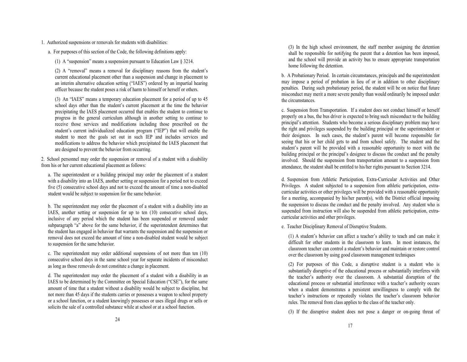1. Authorized suspensions or removals for students with disabilities:

a. For purposes of this section of the Code, the following definitions apply:

(1) A "suspension" means a suspension pursuant to Education Law § 3214.

(2) A "removal" means a removal for disciplinary reasons from the student's current educational placement other than a suspension and change in placement to an interim alternative education setting ("IAES") ordered by an impartial hearing officer because the student poses a risk of harm to himself or herself or others.

(3) An "IAES" means a temporary education placement for a period of up to 45 school days other than the student's current placement at the time the behavior precipitating the IAES placement occurred that enables the student to continue to progress in the general curriculum although in another setting to continue to receive those services and modifications including those prescribed on the student's current individualized education program ("IEP") that will enable the student to meet the goals set out in such IEP and includes services and modifications to address the behavior which precipitated the IAES placement that are designed to prevent the behavior from occurring.

2. School personnel may order the suspension or removal of a student with a disability from his or her current educational placement as follows:

a. The superintendent or a building principal may order the placement of a student with a disability into an IAES, another setting or suspension for a period not to exceed five (5) consecutive school days and not to exceed the amount of time a non-disabled student would be subject to suspension for the same behavior.

b. The superintendent may order the placement of a student with a disability into an IAES, another setting or suspension for up to ten (10) consecutive school days, inclusive of any period which the student has been suspended or removed under subparagraph "a" above for the same behavior, if the superintendent determines that the student has engaged in behavior that warrants the suspension and the suspension or removal does not exceed the amount of time a non-disabled student would be subject to suspension for the same behavior.

c. The superintendent may order additional suspensions of not more than ten (10) consecutive school days in the same school year for separate incidents of misconduct as long as those removals do not constitute a change in placement.

d. The superintendent may order the placement of a student with a disability in an IAES to be determined by the Committee on Special Education ("CSE"), for the same amount of time that a student without a disability would be subject to discipline, but not more than 45 days if the students carries or possesses a weapon to school property or a school function, or a student knowingly possesses or uses illegal drugs or sells or solicits the sale of a controlled substance while at school or at a school function.

(3) In the high school environment, the staff member assigning the detention shall be responsible for notifying the parent that a detention has been imposed, and the school will provide an activity bus to ensure appropriate transportation home following the detention.

b. A Probationary Period. In certain circumstances, principals and the superintendent may impose a period of probation in lieu of or in addition to other disciplinary penalties. During such probationary period, the student will be on notice that future misconduct may merit a more severe penalty than would ordinarily be imposed under the circumstances.

c. Suspension from Transportation. If a student does not conduct himself or herself properly on a bus, the bus driver is expected to bring such misconduct to the building principal's attention. Students who become a serious disciplinary problem may have the right and privileges suspended by the building principal or the superintendent or their designees. In such cases, the student's parent will become responsible for seeing that his or her child gets to and from school safely. The student and the student's parent will be provided with a reasonable opportunity to meet with the building principal or the principal's designee to discuss the conduct and the penalty involved. Should the suspension from transportation amount to a suspension from attendance, the student shall be entitled to his/her rights pursuant to Section 3214.

d. Suspension from Athletic Participation, Extra-Curricular Activities and Other Privileges. A student subjected to a suspension from athletic participation, extracurricular activities or other privileges will be provided with a reasonable opportunity for a meeting, accompanied by his/her parent(s), with the District official imposing the suspension to discuss the conduct and the penalty involved. Any student who is suspended from instruction will also be suspended from athletic participation, extracurricular activities and other privileges.

e. Teacher Disciplinary Removal of Disruptive Students.

(1) A student's behavior can affect a teacher's ability to teach and can make it difficult for other students in the classroom to learn. In most instances, the classroom teacher can control a student's behavior and maintain or restore control over the classroom by using good classroom management techniques

(2) For purposes of this Code, a disruptive student is a student who is substantially disruptive of the educational process or substantially interferes with the teacher's authority over the classroom. A substantial disruption of the educational process or substantial interference with a teacher's authority occurs when a student demonstrates a persistent unwillingness to comply with the teacher's instructions or repeatedly violates the teacher's classroom behavior rules. The removal from class applies to the class of the teacher only.

(3) If the disruptive student does not pose a danger or on-going threat of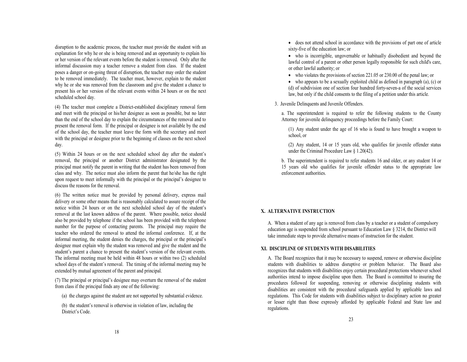disruption to the academic process, the teacher must provide the student with an explanation for why he or she is being removed and an opportunity to explain his or her version of the relevant events before the student is removed. Only after the informal discussion may a teacher remove a student from class. If the student poses a danger or on-going threat of disruption, the teacher may order the student to be removed immediately. The teacher must, however, explain to the student why he or she was removed from the classroom and give the student a chance to present his or her version of the relevant events within 24 hours or on the next scheduled school day.

(4) The teacher must complete a District-established disciplinary removal form and meet with the principal or his/her designee as soon as possible, but no later than the end of the school day to explain the circumstances of the removal and to present the removal form. If the principal or designee is not available by the end of the school day, the teacher must leave the form with the secretary and meet with the principal or designee prior to the beginning of classes on the next school day.

(5) Within 24 hours or on the next scheduled school day after the student's removal, the principal or another District administrator designated by the principal must notify the parent in writing that the student has been removed from class and why. The notice must also inform the parent that he/she has the right upon request to meet informally with the principal or the principal's designee to discuss the reasons for the removal.

(6) The written notice must be provided by personal delivery, express mail delivery or some other means that is reasonably calculated to assure receipt of the notice within 24 hours or on the next scheduled school day of the student's removal at the last known address of the parent. Where possible, notice should also be provided by telephone if the school has been provided with the telephone number for the purpose of contacting parents. The principal may require the teacher who ordered the removal to attend the informal conference. If, at the informal meeting, the student denies the charges, the principal or the principal's designee must explain why the student was removed and give the student and the student's parent a chance to present the student's version of the relevant events. The informal meeting must be held within 48 hours or within two (2) scheduled school days of the student's removal. The timing of the informal meeting may be extended by mutual agreement of the parent and principal.

(7) The principal or principal's designee may overturn the removal of the student from class if the principal finds any one of the following:

(a) the charges against the student are not supported by substantial evidence.

(b) the student's removal is otherwise in violation of law, including the District's Code.

 does not attend school in accordance with the provisions of part one of article sixty-five of the education law; or

 who is incorrigible, ungovernable or habitually disobedient and beyond the lawful control of a parent or other person legally responsible for such child's care, or other lawful authority; or

who violates the provisions of section 221.05 or 230.00 of the penal law; or

 $\bullet$  who appears to be a sexually exploited child as defined in paragraph (a), (c) or (d) of subdivision one of section four hundred forty-seven-a of the social services law, but only if the child consents to the filing of a petition under this article.

3. Juvenile Delinquents and Juvenile Offenders.

a. The superintendent is required to refer the following students to the County Attorney for juvenile delinquency proceedings before the Family Court:

(1) Any student under the age of 16 who is found to have brought a weapon to school, or

(2) Any student, 14 or 15 years old, who qualifies for juvenile offender status under the Criminal Procedure Law § 1.20(42).

b. The superintendent is required to refer students 16 and older, or any student 14 or 15 years old who qualifies for juvenile offender status to the appropriate law enforcement authorities.

#### **X. ALTERNATIVE INSTRUCTION**

A. When a student of any age is removed from class by a teacher or a student of compulsory education age is suspended from school pursuant to Education Law § 3214, the District will take immediate steps to provide alternative means of instruction for the student.

#### **XI. DISCIPLINE OF STUDENTS WITH DISABILITIES**

A. The Board recognizes that it may be necessary to suspend, remove or otherwise discipline students with disabilities to address disruptive or problem behavior. The Board also recognizes that students with disabilities enjoy certain procedural protections whenever school authorities intend to impose discipline upon them. The Board is committed to insuring the procedures followed for suspending, removing or otherwise disciplining students with disabilities are consistent with the procedural safeguards applied by applicable laws and regulations. This Code for students with disabilities subject to disciplinary action no greater or lesser right than those expressly afforded by applicable Federal and State law and regulations.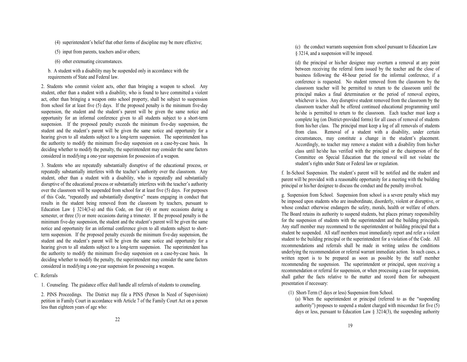(4) superintendent's belief that other forms of discipline may be more effective;

(5) input from parents, teachers and/or others;

- (6) other extenuating circumstances.
- b. A student with a disability may be suspended only in accordance with the requirements of State and Federal law.

2. Students who commit violent acts, other than bringing a weapon to school. Any student, other than a student with a disability, who is found to have committed a violent act, other than bringing a weapon onto school property, shall be subject to suspension from school for at least five (5) days. If the proposed penalty is the minimum five-day suspension, the student and the student's parent will be given the same notice and opportunity for an informal conference given to all students subject to a short-term suspension. If the proposed penalty exceeds the minimum five-day suspension, the student and the student's parent will be given the same notice and opportunity for a hearing given to all students subject to a long-term suspension. The superintendent has the authority to modify the minimum five-day suspension on a case-by-case basis. In deciding whether to modify the penalty, the superintendent may consider the same factors considered in modifying a one-year suspension for possession of a weapon.

3. Students who are repeatedly substantially disruptive of the educational process, or repeatedly substantially interferes with the teacher's authority over the classroom. Any student, other than a student with a disability, who is repeatedly and substantially disruptive of the educational process or substantially interferes with the teacher's authority over the classroom will be suspended from school for at least five (5) days. For purposes of this Code, "repeatedly and substantially disruptive" means engaging in conduct that results in the student being removed from the classroom by teachers, pursuant to Education Law  $\S$  3214(3-a) and this Code, on four (4) or more occasions during a semester, or three (3) or more occasions during a trimester. If the proposed penalty is the minimum five-day suspension, the student and the student's parent will be given the same notice and opportunity for an informal conference given to all students subject to shortterm suspension. If the proposed penalty exceeds the minimum five-day suspension, the student and the student's parent will be given the same notice and opportunity for a hearing given to all students subject to a long-term suspension. The superintendent has the authority to modify the minimum five-day suspension on a case-by-case basis. In deciding whether to modify the penalty, the superintendent may consider the same factors considered in modifying a one-year suspension for possessing a weapon.

#### C. Referrals

1. Counseling. The guidance office shall handle all referrals of students to counseling.

2. PINS Proceedings. The District may file a PINS (Person In Need of Supervision) petition in Family Court in accordance with Article 7 of the Family Court Act on a person less than eighteen years of age who:

(c) the conduct warrants suspension from school pursuant to Education Law § 3214, and a suspension will be imposed.

(d) the principal or his/her designee may overturn a removal at any point between receiving the referral form issued by the teacher and the close of business following the 48-hour period for the informal conference, if a conference is requested. No student removed from the classroom by the classroom teacher will be permitted to return to the classroom until the principal makes a final determination or the period of removal expires, whichever is less. Any disruptive student removed from the classroom by the classroom teacher shall be offered continued educational programming until he/she is permitted to return to the classroom. Each teacher must keep a complete log (on District-provided forms) for all cases of removal of students from his/her class. The principal must keep a log of all removals of students from class. Removal of a student with a disability, under certain circumstances, may constitute a change in the student's placement. Accordingly, no teacher may remove a student with a disability from his/her class until he/she has verified with the principal or the chairperson of the Committee on Special Education that the removal will not violate the student's rights under State or Federal law or regulation.

f. In-School Suspension. The student's parent will be notified and the student and parent will be provided with a reasonable opportunity for a meeting with the building principal or his/her designee to discuss the conduct and the penalty involved.

g. Suspension from School. Suspension from school is a severe penalty which may be imposed upon students who are insubordinate, disorderly, violent or disruptive, or whose conduct otherwise endangers the safety, morals, health or welfare of others. The Board retains its authority to suspend students, but places primary responsibility for the suspension of students with the superintendent and the building principals. Any staff member may recommend to the superintendent or building principal that a student be suspended. All staff members must immediately report and refer a violent student to the building principal or the superintendent for a violation of the Code. All recommendations and referrals shall be made in writing unless the conditions underlying the recommendation or referral warrant immediate action. In such cases, a written report is to be prepared as soon as possible by the staff member recommending the suspension. The superintendent or principal, upon receiving a recommendation or referral for suspension, or when processing a case for suspension, shall gather the facts relative to the matter and record them for subsequent presentation if necessary:

(1) Short-Term (5 days or less) Suspension from School.

(a) When the superintendent or principal (referred to as the "suspending authority") proposes to suspend a student charged with misconduct for five (5) days or less, pursuant to Education Law  $\S$  3214(3), the suspending authority